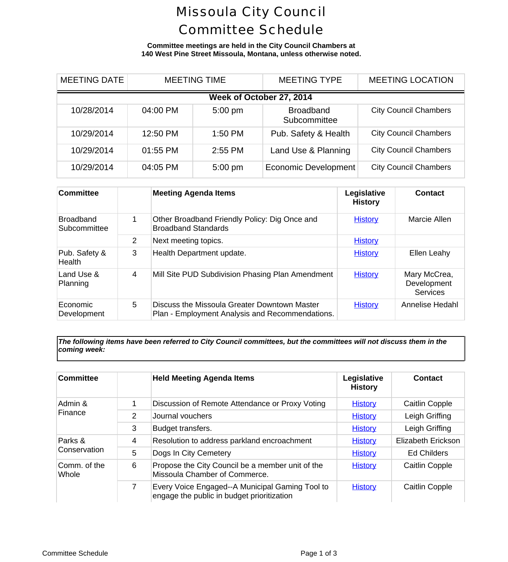## Missoula City Council Committee Schedule

**Committee meetings are held in the City Council Chambers at 140 West Pine Street Missoula, Montana, unless otherwise noted.**

| <b>MEETING DATE</b>      | <b>MEETING TIME</b> |           | <b>MEETING TYPE</b>              |                          | <b>MEETING LOCA</b> |  |  |  |
|--------------------------|---------------------|-----------|----------------------------------|--------------------------|---------------------|--|--|--|
| Week of October 27, 2014 |                     |           |                                  |                          |                     |  |  |  |
| 10/28/2014               | 04:00 PM            | $5:00$ pm | <b>Broadband</b><br>Subcommittee | <b>City Council Cham</b> |                     |  |  |  |
| 10/29/2014               | 12:50 PM            | 1:50 PM   | Pub. Safety & Health             | <b>City Council Cham</b> |                     |  |  |  |
| 10/29/2014               | 01:55 PM            | 2:55 PM   | Land Use & Planning              | <b>City Council Cham</b> |                     |  |  |  |
| 10/29/2014               | 04:05 PM            | $5:00$ pm | <b>Economic Development</b>      | <b>City Council Cham</b> |                     |  |  |  |

| <b>Committee</b>                 |   | <b>Meeting Agenda Items</b>                                                                     | Legislative<br><b>History</b> | Cont                         |
|----------------------------------|---|-------------------------------------------------------------------------------------------------|-------------------------------|------------------------------|
| <b>Broadband</b><br>Subcommittee | 1 | Other Broadband Friendly Policy: Dig Once and<br><b>Broadband Standards</b>                     | <b>History</b>                | Marcie                       |
|                                  | 2 | Next meeting topics.                                                                            | <b>History</b>                |                              |
| Pub. Safety &<br><b>Health</b>   | 3 | Health Department update.                                                                       | <b>History</b>                | Ellen L                      |
| Land Use &<br>Planning           | 4 | Mill Site PUD Subdivision Phasing Plan Amendment                                                | <b>History</b>                | Mary Mc<br>Develop<br>Servid |
| Economic<br>Development          | 5 | Discuss the Missoula Greater Downtown Master<br>Plan - Employment Analysis and Recommendations. | <b>History</b>                | Annelise                     |

*The following items have been referred to City Council committees, but the committees will not discuss them in the coming week:*

| <b>Committee</b>      |   | <b>Held Meeting Agenda Items</b>                                                              | Legislative<br><b>History</b> | Conta       |
|-----------------------|---|-----------------------------------------------------------------------------------------------|-------------------------------|-------------|
| Admin &<br>Finance    | 1 | Discussion of Remote Attendance or Proxy Voting                                               | <b>History</b>                | Caitlin C   |
|                       | 2 | Journal vouchers                                                                              | <b>History</b>                | Leigh Gr    |
|                       | 3 | Budget transfers.                                                                             | <b>History</b>                | Leigh Gr    |
| Parks &               | 4 | Resolution to address parkland encroachment                                                   | <b>History</b>                | Elizabeth E |
| Conservation          | 5 | Dogs In City Cemetery                                                                         | <b>History</b>                | Ed Chile    |
| Comm. of the<br>Whole | 6 | Propose the City Council be a member unit of the<br>Missoula Chamber of Commerce.             | <b>History</b>                | Caitlin C   |
|                       | 7 | Every Voice Engaged--A Municipal Gaming Tool to<br>engage the public in budget prioritization | <b>History</b>                | Caitlin C   |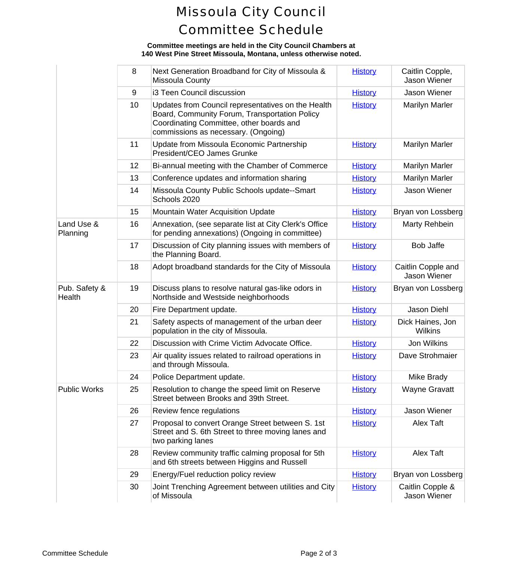## Missoula City Council Committee Schedule

## **Committee meetings are held in the City Council Chambers at 140 West Pine Street Missoula, Montana, unless otherwise noted.**

|                         | 8  | Next Generation Broadband for City of Missoula &<br>Missoula County                                                                                                                    | <b>History</b> | Caitlin Cd<br>Jason W       |
|-------------------------|----|----------------------------------------------------------------------------------------------------------------------------------------------------------------------------------------|----------------|-----------------------------|
| 9                       |    | i3 Teen Council discussion                                                                                                                                                             | <b>History</b> | Jason W                     |
|                         | 10 | Updates from Council representatives on the Health<br>Board, Community Forum, Transportation Policy<br>Coordinating Committee, other boards and<br>commissions as necessary. (Ongoing) | <b>History</b> | Marilyn N                   |
|                         | 11 | Update from Missoula Economic Partnership<br>President/CEO James Grunke                                                                                                                | <b>History</b> | Marilyn N                   |
|                         | 12 | Bi-annual meeting with the Chamber of Commerce                                                                                                                                         | <b>History</b> | Marilyn N                   |
|                         | 13 | Conference updates and information sharing                                                                                                                                             | <b>History</b> | Marilyn N                   |
|                         | 14 | Missoula County Public Schools update--Smart<br>Schools 2020                                                                                                                           | <b>History</b> | Jason W                     |
|                         | 15 | Mountain Water Acquisition Update                                                                                                                                                      | <b>History</b> | Bryan von L                 |
| Land Use &<br>Planning  | 16 | Annexation, (see separate list at City Clerk's Office<br>for pending annexations) (Ongoing in committee)                                                                               | <b>History</b> | Marty Re                    |
|                         | 17 | Discussion of City planning issues with members of<br>the Planning Board.                                                                                                              | <b>History</b> | Bob Ja                      |
|                         | 18 | Adopt broadband standards for the City of Missoula                                                                                                                                     | <b>History</b> | Caitlin Cop<br>Jason W      |
| Pub. Safety &<br>Health | 19 | Discuss plans to resolve natural gas-like odors in<br>Northside and Westside neighborhoods                                                                                             | <b>History</b> | Bryan von L                 |
|                         | 20 | Fire Department update.                                                                                                                                                                | <b>History</b> | Jason D                     |
|                         | 21 | Safety aspects of management of the urban deer<br>population in the city of Missoula.                                                                                                  | <b>History</b> | <b>Dick Haine</b><br>Wilkir |
|                         | 22 | Discussion with Crime Victim Advocate Office.                                                                                                                                          | <b>History</b> | Jon Wil                     |
|                         | 23 | Air quality issues related to railroad operations in<br>and through Missoula.                                                                                                          | <b>History</b> | Dave Stro                   |
|                         | 24 | Police Department update.                                                                                                                                                              | <b>History</b> | Mike Br                     |
| <b>Public Works</b>     | 25 | Resolution to change the speed limit on Reserve<br>Street between Brooks and 39th Street.                                                                                              | <b>History</b> | Wayne G                     |
|                         | 26 | Review fence regulations                                                                                                                                                               | <b>History</b> | Jason W                     |
|                         | 27 | Proposal to convert Orange Street between S. 1st<br>Street and S. 6th Street to three moving lanes and<br>two parking lanes                                                            | <b>History</b> | Alex T                      |
|                         | 28 | Review community traffic calming proposal for 5th<br>and 6th streets between Higgins and Russell                                                                                       | <b>History</b> | Alex T                      |
|                         | 29 | Energy/Fuel reduction policy review                                                                                                                                                    | <b>History</b> | Bryan von L                 |
|                         | 30 | Joint Trenching Agreement between utilities and City<br>of Missoula                                                                                                                    | <b>History</b> | Caitlin Col<br>Jason W      |